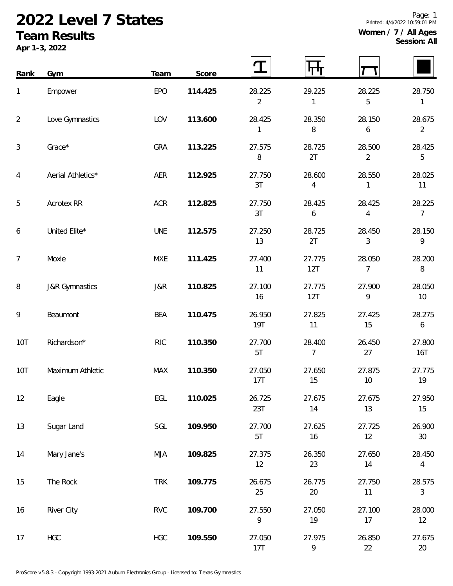## **2022 Level 7 States Team Results**

**Apr 1-3, 2022**

|  | Page: 1<br>Printed: 4/4/2022 10:59:01 PM |
|--|------------------------------------------|
|  | Women / $7$ / All Ages<br>Session: All   |
|  |                                          |

| Rank           | Gym                       | Team       | Score   |                          |                          |                          |                            |
|----------------|---------------------------|------------|---------|--------------------------|--------------------------|--------------------------|----------------------------|
| 1              | Empower                   | EPO        | 114.425 | 28.225<br>$\overline{2}$ | 29.225<br>1              | 28.225<br>5              | 28.750<br>1                |
| $\overline{a}$ | Love Gymnastics           | LOV        | 113.600 | 28.425<br>1              | 28.350<br>8              | 28.150<br>6              | 28.675<br>$\overline{2}$   |
| 3              | Grace*                    | <b>GRA</b> | 113.225 | 27.575<br>8              | 28.725<br>2T             | 28.500<br>$\overline{2}$ | 28.425<br>5                |
| 4              | Aerial Athletics*         | AER        | 112.925 | 27.750<br>3T             | 28.600<br>4              | 28.550<br>1              | 28.025<br>11               |
| 5              | Acrotex RR                | <b>ACR</b> | 112.825 | 27.750<br>3T             | 28.425<br>6              | 28.425<br>4              | 28.225<br>$\overline{7}$   |
| 6              | United Elite*             | <b>UNE</b> | 112.575 | 27.250<br>13             | 28.725<br>2T             | 28.450<br>3              | 28.150<br>9                |
| $\overline{7}$ | Moxie                     | MXE        | 111.425 | 27.400<br>11             | 27.775<br>12T            | 28.050<br>7              | 28.200<br>8                |
| 8              | <b>J&amp;R Gymnastics</b> | J&R        | 110.825 | 27.100<br>16             | 27.775<br>12T            | 27.900<br>9              | 28.050<br>10               |
| 9              | Beaumont                  | <b>BEA</b> | 110.475 | 26.950<br><b>19T</b>     | 27.825<br>11             | 27.425<br>15             | 28.275<br>$\boldsymbol{6}$ |
| 10T            | Richardson*               | <b>RIC</b> | 110.350 | 27.700<br>5T             | 28.400<br>$\overline{7}$ | 26.450<br>27             | 27.800<br>16T              |
| <b>10T</b>     | Maximum Athletic          | <b>MAX</b> | 110.350 | 27.050<br>17T            | 27.650<br>15             | 27.875<br>10             | 27.775<br>19               |
| 12             | Eagle                     | EGL        | 110.025 | 26.725<br>23T            | 27.675<br>14             | 27.675<br>13             | 27.950<br>15               |
| 13             | Sugar Land                | SGL        | 109.950 | 27.700<br>5T             | 27.625<br>16             | 27.725<br>12             | 26.900<br>$30\,$           |
| 14             | Mary Jane's               | <b>MJA</b> | 109.825 | 27.375<br>12             | 26.350<br>23             | 27.650<br>14             | 28.450<br>$\overline{4}$   |
| 15             | The Rock                  | <b>TRK</b> | 109.775 | 26.675<br>25             | 26.775<br>$20\,$         | 27.750<br>11             | 28.575<br>$\mathfrak{Z}$   |
| 16             | <b>River City</b>         | <b>RVC</b> | 109.700 | 27.550<br>9              | 27.050<br>19             | 27.100<br>17             | 28.000<br>12               |
| 17             | <b>HGC</b>                | <b>HGC</b> | 109.550 | 27.050<br>17T            | 27.975<br>9              | 26.850<br>22             | 27.675<br>20               |